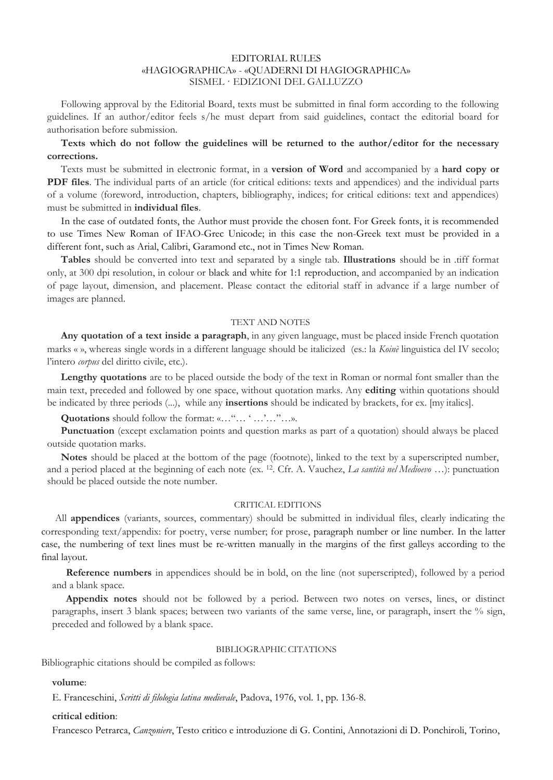### EDITORIAL RULES «HAGIOGRAPHICA» - «QUADERNI DI HAGIOGRAPHICA» SISMEL · EDIZIONI DEL GALLUZZO

Following approval by the Editorial Board, texts must be submitted in final form according to the following guidelines. If an author/editor feels s/he must depart from said guidelines, contact the editorial board for authorisation before submission.

### **Texts which do not follow the guidelines will be returned to the author/editor for the necessary corrections.**

Texts must be submitted in electronic format, in a **version of Word** and accompanied by a **hard copy or PDF files**. The individual parts of an article (for critical editions: texts and appendices) and the individual parts of a volume (foreword, introduction, chapters, bibliography, indices; for critical editions: text and appendices) must be submitted in **individual files**.

In the case of outdated fonts, the Author must provide the chosen font. For Greek fonts, it is recommended to use Times New Roman of IFAO-Grec Unicode; in this case the non-Greek text must be provided in a different font, such as Arial, Calibri, Garamond etc., not in Times New Roman.

**Tables** should be converted into text and separated by a single tab. **Illustrations** should be in .tiff format only, at 300 dpi resolution, in colour or black and white for 1:1 reproduction, and accompanied by an indication of page layout, dimension, and placement. Please contact the editorial staff in advance if a large number of images are planned.

#### TEXT AND NOTES

**Any quotation of a text inside a paragraph**, in any given language, must be placed inside French quotation marks « », whereas single words in a different language should be italicized (es.: la *Koinè* linguistica del IV secolo; l'intero *corpus* del diritto civile, etc.).

**Lengthy quotations** are to be placed outside the body of the text in Roman or normal font smaller than the main text, preceded and followed by one space, without quotation marks. Any **editing** within quotations should be indicated by three periods (...), while any **insertions** should be indicated by brackets, for ex. [my italics].

**Quotations** should follow the format: «…"… ' …'…"…».

**Punctuation** (except exclamation points and question marks as part of a quotation) should always be placed outside quotation marks.

**Notes** should be placed at the bottom of the page (footnote), linked to the text by a superscripted number, and a period placed at the beginning of each note (ex. 12. Cfr. A. Vauchez, *La santità nel Medioevo* …): punctuation should be placed outside the note number.

### CRITICAL EDITIONS

All **appendices** (variants, sources, commentary) should be submitted in individual files, clearly indicating the corresponding text/appendix: for poetry, verse number; for prose, paragraph number or line number. In the latter case, the numbering of text lines must be re-written manually in the margins of the first galleys according to the final layout.

**Reference numbers** in appendices should be in bold, on the line (not superscripted), followed by a period and a blank space.

**Appendix notes** should not be followed by a period. Between two notes on verses, lines, or distinct paragraphs, insert 3 blank spaces; between two variants of the same verse, line, or paragraph, insert the % sign, preceded and followed by a blank space.

### BIBLIOGRAPHIC CITATIONS

Bibliographic citations should be compiled as follows:

**volume**:

E. Franceschini, *Scritti di filologia latina medievale*, Padova, 1976, vol. 1, pp. 136-8.

#### **critical edition**:

Francesco Petrarca, *Canzoniere*, Testo critico e introduzione di G. Contini, Annotazioni di D. Ponchiroli, Torino,